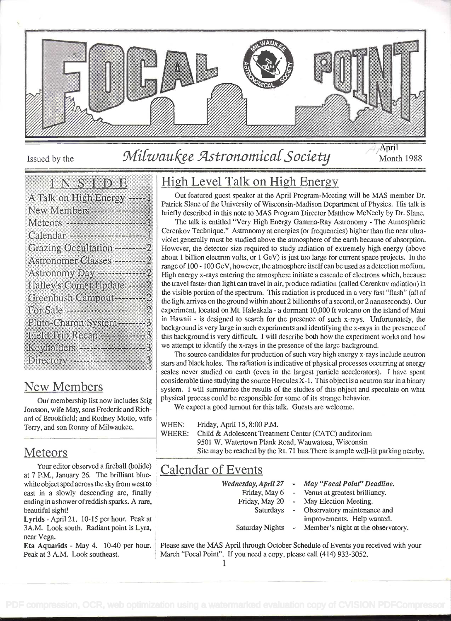

# Issued by the Milwaukee Astronomical Society Month 1988

April

### **IENES EDEL** A Talk on High Energy ---- 1 New Members-----------------1 Grazing Occultation ---------2 Halley's Comet Update ---- 2 Greenbush Campout ------- 2 Pluto-Charon System -------- 3 Field Trip Recap -----------3 Directory ---------------------3

## New Members

Our membership list now includes Stig Jonsson, wife May, sons Frederik and Richard of Brookfield; and Rodney Motto, wife  $\vert$  WHEN: Terry, and son Ronny of Milwaukee.

### Meteors

Your editor observed a fireball (bolide) at 7 P.M., January 26. The brilliant bluewhite object sped across the sky from west to east in a slowly descending arc, finally ending in a showerofreddish sparks. A rare, beautiful sight!

Lyrids - April 21. 10-15 per hour. Peak at 3A.M. Look south. Radiant point is Lyra, near Vega.

Eta Aquarids - May 4. 10-40 per hour. Peak at 3 A.M. Look southeast.

## High Level Talk on High Energy

Out featured guest speaker at the April Program-Meeting will be MAS member Dr. Patrick Slane of the University of Wisconsin-Madison Department of Physics. His talk is briefly described in this note to MAS Program Director Matthew McNeely by Dr. Slane.

The talk is entitled "Very High Energy Gamma-Ray Astronomy - The Atmospheric Cerenkov Technique." Astronomy at energies (or frequencies) higher than the near ultraviolet generally must be studied above the atmosphere of the earth because of absorption. However, the detector size required to study radiation of extremely high energy (above about i billion electron volts, or i GeV) is just too large for current space projects. In the range of 100 - 100 GeV, however, the atmosphere itself can be used as a detection medium. High energy x-rays entering the atmosphere initiate a cascade of electrons which, because the travel faster than light can travel in air, produce radiation (called Cerenkov radiation) in the visible portion of the spectrum. This radiation is produced in a very fast "flash" (all of the light arrives on the ground within about 2 billionths of a second, or 2 nanoseconds). Our experiment, located on Mt. Haleakala - a dormant 10,000 ft volcano on the island of Maui in Hawaii - is designed to search for the presence of such x-rays. Unfortunately, the background is very large in such experiments and identifying the x-rays in the presence of this background is very difficult. I will describe both how the experiment works and how we attempt to identify the x-rays in the presence of the large background.

The source candidates for production of such very high energy x-rays include neutron stars and black holes. The radiation is indicative of physical processes occurring at energy scales never studied on earth (even in the largest particle accelerators). I have spent considerable time studying the source Hercules X-1. This object is a neutron star in a binary system. I will summarize the results of the studies of this object and speculate on what physical process could be responsible for some of its strange behavior.

We expect a good turnout for this talk. Guests are welcome.

Friday, April 15, 8:00 P.M.

WHERE: Child & Adolescent Treatment Center (CATC) auditorium 9501 W. Watertown Plank Road, Wauwatosa, Wisconsin Site may be reached by the Rt. 71 bus.There is ample well-lit parking nearby.

## Calendar of Events

- Wednesday, April 27 May "Focal Point" Deadline.
	- Friday, May 6 Venus at greatest brilliancy.
	- Friday, May 20 -May Election Meeting.
		- **Saturdays** Observatory maintenance and
			- improvements. Help wanted.
	- Saturday Nights  $\leftarrow$ Member's night at the observatory.

Please save the MAS April through October Schedule of Events you received with your March "Focal Point". If you need a copy, please call (414) 933-3052.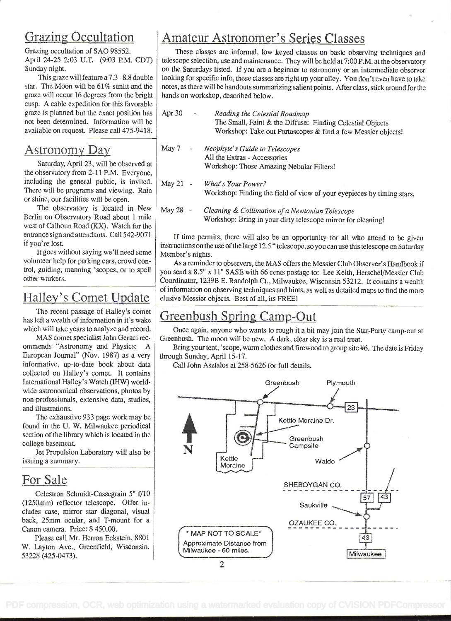## Grazing Occultation

Grazing occultation of SAO 98552. April 24-25 2:03 U.T. (9:03 P.M. CDT) Sunday night.

This graze will feature a 7.3 - 8.8 double star. The Moon will be 61% sunlit and the graze will occur 16 degrees from the bright cusp. A cable expedition for this favorable graze is planned but the exact position has  $|A$ not been determined. Information will be available on request. Please call 475-9418.

### Astronomy Day

Saturday, April 23, will be observed at the observatory from 2- <sup>1</sup>1 P.M. Everyone, including the general public, is invited.  $\big|$  May 21 -There will be programs and viewing. Rain or shine, our facilities will be open.

The observatory is located in New  $\vert$  May 28 -Berlin on Observatory Road about 1 mile west of Calhoun Road (KX). Watch for the entrance sign and attendants. Call 542-9071 if you're lost.

It goes without saying we'll need some volunteer help for parking cars, crowd control, guiding, manning 'scopes, or to spell other workers.

# Halley's Comet Update

The recent passage of Halley's comet has left a wealth of information in it's wake which will take years to analyze and record.

MAS comet specialist John Geraci rec ommends "Astronomy and Physics: A European Journal" (Nov. 1987) as a very informative, up-to-date book about data collected on Halley's comet. It contains International Halley's Watch (IHW) worldwide astronomical observations, photos by non-professionals, extensive data, studies, and illustrations.

The exhaustive 933 page work may be found in the U. W. Milwaukee periodical section of the library which is located in the college basement.

Jet Propulsion Laboratory will also be issuing a summary.

## For Sale

Celestron Schmidt-Cassegrain 5" f/10 (1250mm) reflector telescope. Offer indudes case, mirror star diagonal, visual back, 25mm ocular, and T-mount for a Canon camera. Price: \$ 450.00.

Please call Mr. Herron Eckstein, 8801 W. Layton Ave., Greenfield, Wisconsin. 53228 (425-0473).

## Amateur Astronomer's Series Classes

These classes are informal, low keyed classes on basic observing techniques and telescope selectibn, use and maintenance. They will be held at 7:00 P.M. at the observatory on the Saturdays listed. If you are a beginner to astronomy or an intermediate observer looking for specific info, these classes are right up your alley. You don't even have to take notes, as there will be handouts summarizing salientpoints. After class, stick around for the hands on workshop, described below.

| Apr 30 | $\overline{\phantom{a}}$ | Reading the Celestial Roadmap                                |
|--------|--------------------------|--------------------------------------------------------------|
|        |                          | The Small, Faint & the Diffuse: Finding Celestial Objects    |
|        |                          | Workshop: Take out Portascopes & find a few Messier objects! |
|        |                          |                                                              |

- May 7 Neóphyte's Guide to Telescopes All the Extras - Accessories Workshop: Those Amazing Nebular Filters!
- What's Your Power? Workshop: Finding the field of view of your eyepieces by timing stars.
- Cleaning & Collimation of a Newtonian Telescope Workshop: Bring in your dirty telescope mirror for cleaning!

If time permits, there will also be an opportunity for all who attend to be given instructions on the use of the large 12.5 " telescope, so you can use this telescope on Saturday Member's nights.

As a reminder to observers, the MAS offers the Messier Club Observer's Handbook if you send a 8.5" x 11' SASE with 66 cents postage to: Lee Keith, Herschel/Messier Club Coordinator, 1239B E. Randolph Ct., Milwaukee, Wisconsin 53212. It Contains a wealth ofinformation on observing techniques and hints, as well as detailed maps to find the more elusive Messier objects. Best of all, its FREE!

## Greenbush Spring Camp-Out

Once again, anyone who wants to rough it a bit may join the Star-Party camp-out at Greenbush. The moon will be new. A dark, clear sky is a real treat.

Bring your tent, 'scope, warm clothes and firewood to group site #6. The date is Friday through Sunday, April 15-17.

Call John Asztalos at 258-5626 for full details.